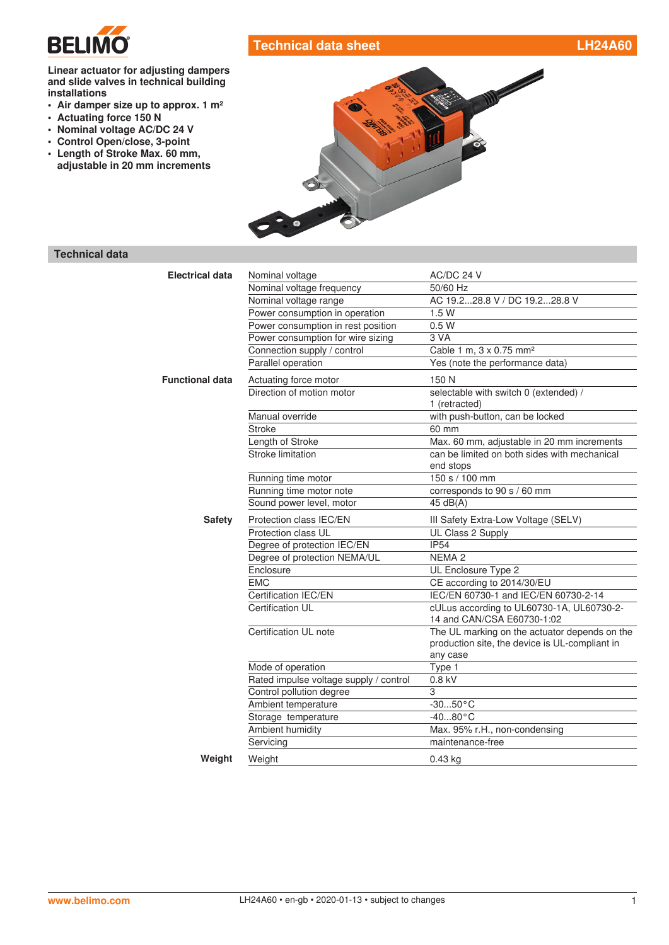

# **Technical data sheet LH24A60**

**Linear actuator for adjusting dampers and slide valves in technical building installations**

- **• Air damper size up to approx. 1 m²**
- **• Actuating force 150 N**
- **• Nominal voltage AC/DC 24 V**
- **• Control Open/close, 3-point**
- **• Length of Stroke Max. 60 mm, adjustable in 20 mm increments**



# **Technical data**

| <b>Electrical data</b> | Nominal voltage                        | AC/DC 24 V                                                                                                  |
|------------------------|----------------------------------------|-------------------------------------------------------------------------------------------------------------|
|                        | Nominal voltage frequency              | 50/60 Hz                                                                                                    |
|                        | Nominal voltage range                  | AC 19.228.8 V / DC 19.228.8 V                                                                               |
|                        | Power consumption in operation         | 1.5W                                                                                                        |
|                        | Power consumption in rest position     | 0.5W                                                                                                        |
|                        | Power consumption for wire sizing      | 3 VA                                                                                                        |
|                        | Connection supply / control            | Cable 1 m, 3 x 0.75 mm <sup>2</sup>                                                                         |
|                        | Parallel operation                     | Yes (note the performance data)                                                                             |
| <b>Functional data</b> | Actuating force motor                  | 150 N                                                                                                       |
|                        | Direction of motion motor              | selectable with switch 0 (extended) /<br>1 (retracted)                                                      |
|                        | Manual override                        | with push-button, can be locked                                                                             |
|                        | <b>Stroke</b>                          | 60 mm                                                                                                       |
|                        | Length of Stroke                       | Max. 60 mm, adjustable in 20 mm increments                                                                  |
|                        | Stroke limitation                      | can be limited on both sides with mechanical<br>end stops                                                   |
|                        | Running time motor                     | 150 s / 100 mm                                                                                              |
|                        | Running time motor note                | corresponds to 90 s / 60 mm                                                                                 |
|                        | Sound power level, motor               | 45 dB(A)                                                                                                    |
| <b>Safety</b>          | Protection class IEC/EN                | III Safety Extra-Low Voltage (SELV)                                                                         |
|                        | Protection class UL                    | UL Class 2 Supply                                                                                           |
|                        | Degree of protection IEC/EN            | <b>IP54</b>                                                                                                 |
|                        | Degree of protection NEMA/UL           | NEMA <sub>2</sub>                                                                                           |
|                        | Enclosure                              | UL Enclosure Type 2                                                                                         |
|                        | <b>EMC</b>                             | CE according to 2014/30/EU                                                                                  |
|                        | Certification IEC/EN                   | IEC/EN 60730-1 and IEC/EN 60730-2-14                                                                        |
|                        | Certification UL                       | cULus according to UL60730-1A, UL60730-2-<br>14 and CAN/CSA E60730-1:02                                     |
|                        | Certification UL note                  | The UL marking on the actuator depends on the<br>production site, the device is UL-compliant in<br>any case |
|                        | Mode of operation                      | Type 1                                                                                                      |
|                        | Rated impulse voltage supply / control | 0.8 kV                                                                                                      |
|                        | Control pollution degree               | 3                                                                                                           |
|                        | Ambient temperature                    | $-3050$ °C                                                                                                  |
|                        | Storage temperature                    | $-4080 °C$                                                                                                  |
|                        | Ambient humidity                       | Max. 95% r.H., non-condensing                                                                               |
|                        | Servicing                              | maintenance-free                                                                                            |
| Weight                 | Weight                                 | $0.43$ kg                                                                                                   |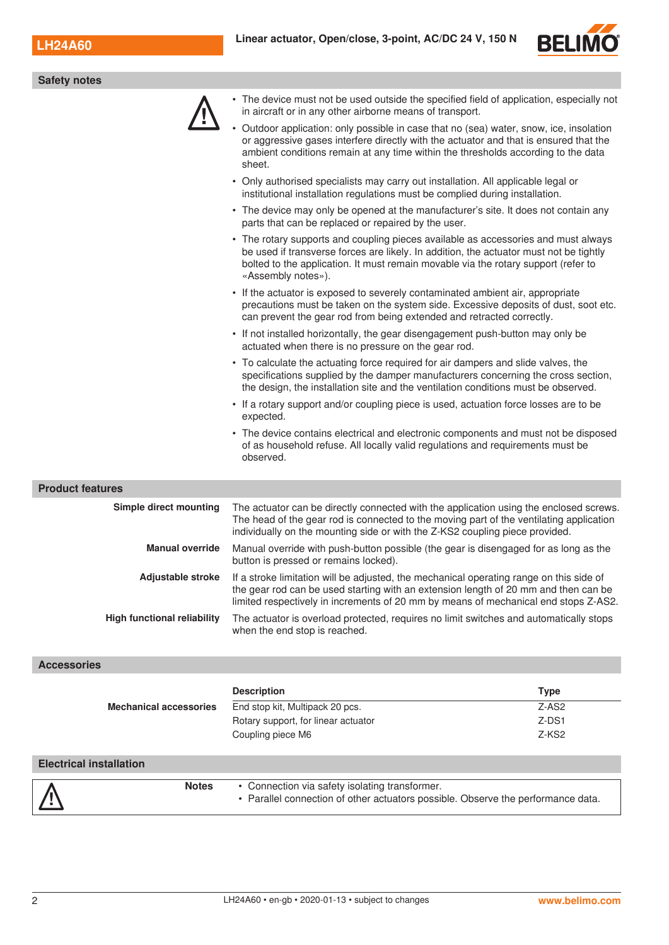

| <b>Safety notes</b>                |                                                                                                                                                                                                                                                                                          |
|------------------------------------|------------------------------------------------------------------------------------------------------------------------------------------------------------------------------------------------------------------------------------------------------------------------------------------|
|                                    | • The device must not be used outside the specified field of application, especially not<br>in aircraft or in any other airborne means of transport.                                                                                                                                     |
|                                    | • Outdoor application: only possible in case that no (sea) water, snow, ice, insolation<br>or aggressive gases interfere directly with the actuator and that is ensured that the<br>ambient conditions remain at any time within the thresholds according to the data<br>sheet.          |
|                                    | • Only authorised specialists may carry out installation. All applicable legal or<br>institutional installation regulations must be complied during installation.                                                                                                                        |
|                                    | • The device may only be opened at the manufacturer's site. It does not contain any<br>parts that can be replaced or repaired by the user.                                                                                                                                               |
|                                    | • The rotary supports and coupling pieces available as accessories and must always<br>be used if transverse forces are likely. In addition, the actuator must not be tightly<br>bolted to the application. It must remain movable via the rotary support (refer to<br>«Assembly notes»). |
|                                    | • If the actuator is exposed to severely contaminated ambient air, appropriate<br>precautions must be taken on the system side. Excessive deposits of dust, soot etc.<br>can prevent the gear rod from being extended and retracted correctly.                                           |
|                                    | • If not installed horizontally, the gear disengagement push-button may only be<br>actuated when there is no pressure on the gear rod.                                                                                                                                                   |
|                                    | • To calculate the actuating force required for air dampers and slide valves, the<br>specifications supplied by the damper manufacturers concerning the cross section,<br>the design, the installation site and the ventilation conditions must be observed.                             |
|                                    | • If a rotary support and/or coupling piece is used, actuation force losses are to be<br>expected.                                                                                                                                                                                       |
|                                    | • The device contains electrical and electronic components and must not be disposed<br>of as household refuse. All locally valid regulations and requirements must be<br>observed.                                                                                                       |
| <b>Product features</b>            |                                                                                                                                                                                                                                                                                          |
| Simple direct mounting             | The actuator can be directly connected with the application using the enclosed screws.<br>The head of the gear rod is connected to the moving part of the ventilating application<br>individually on the mounting side or with the Z-KS2 coupling piece provided.                        |
| <b>Manual override</b>             | Manual override with push-button possible (the gear is disengaged for as long as the<br>button is pressed or remains locked).                                                                                                                                                            |
| Adjustable stroke                  | If a stroke limitation will be adjusted, the mechanical operating range on this side of<br>the gear rod can be used starting with an extension length of 20 mm and then can be<br>limited respectively in increments of 20 mm by means of mechanical end stops Z-AS2.                    |
| <b>High functional reliability</b> | The actuator is overload protected, requires no limit switches and automatically stops<br>when the end stop is reached.                                                                                                                                                                  |

### **Accessories**

|                                | <b>Description</b>                                                                                                                 | <b>Type</b> |
|--------------------------------|------------------------------------------------------------------------------------------------------------------------------------|-------------|
| <b>Mechanical accessories</b>  | End stop kit, Multipack 20 pcs.                                                                                                    | $Z-AS2$     |
|                                | Rotary support, for linear actuator                                                                                                | $Z$ -DS1    |
|                                | Coupling piece M6                                                                                                                  | Z-KS2       |
|                                |                                                                                                                                    |             |
| <b>Electrical installation</b> |                                                                                                                                    |             |
| <b>Notes</b>                   | • Connection via safety isolating transformer.<br>• Parallel connection of other actuators possible. Observe the performance data. |             |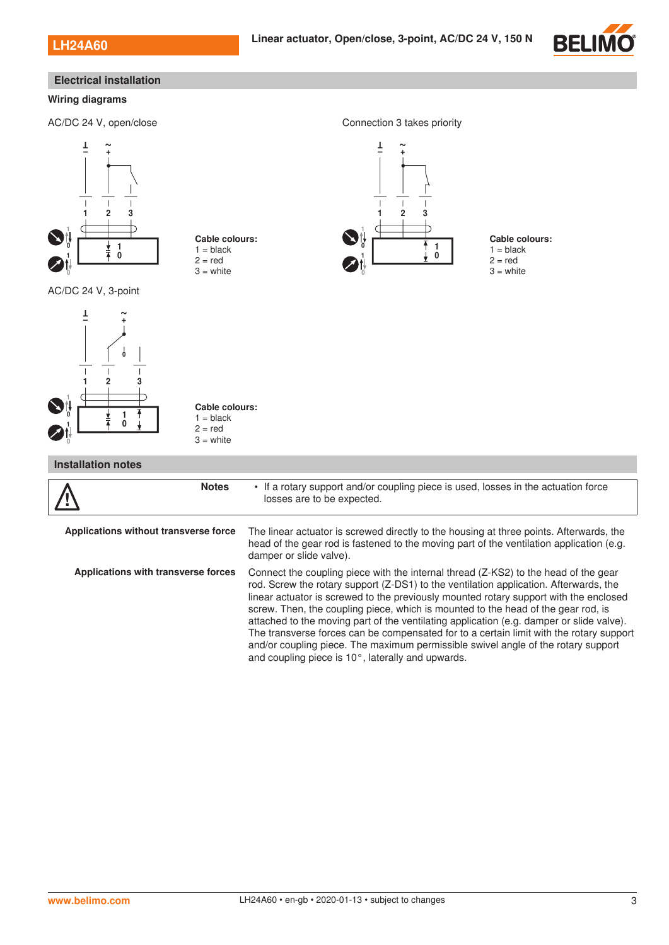

# **Electrical installation**

#### **Wiring diagrams**

AC/DC 24 V, open/close Connection 3 takes priority





#### **Cable colours:**  $1 = **black**$  $2 = red$

 $3 =$  white



 $\overline{1}$ 

**Cable colours:**  $1 = **black**$  $2 = red$  $3 =$  white

### **Installation notes**

| <b>Notes</b>                          | • If a rotary support and/or coupling piece is used, losses in the actuation force<br>losses are to be expected.                                                                                                                                                                                                                                                                                                                                                                                                                                                                                                                                                                            |
|---------------------------------------|---------------------------------------------------------------------------------------------------------------------------------------------------------------------------------------------------------------------------------------------------------------------------------------------------------------------------------------------------------------------------------------------------------------------------------------------------------------------------------------------------------------------------------------------------------------------------------------------------------------------------------------------------------------------------------------------|
| Applications without transverse force | The linear actuator is screwed directly to the housing at three points. Afterwards, the<br>head of the gear rod is fastened to the moving part of the ventilation application (e.g.<br>damper or slide valve).                                                                                                                                                                                                                                                                                                                                                                                                                                                                              |
| Applications with transverse forces   | Connect the coupling piece with the internal thread (Z-KS2) to the head of the gear<br>rod. Screw the rotary support (Z-DS1) to the ventilation application. Afterwards, the<br>linear actuator is screwed to the previously mounted rotary support with the enclosed<br>screw. Then, the coupling piece, which is mounted to the head of the gear rod, is<br>attached to the moving part of the ventilating application (e.g. damper or slide valve).<br>The transverse forces can be compensated for to a certain limit with the rotary support<br>and/or coupling piece. The maximum permissible swivel angle of the rotary support<br>and coupling piece is 10°, laterally and upwards. |